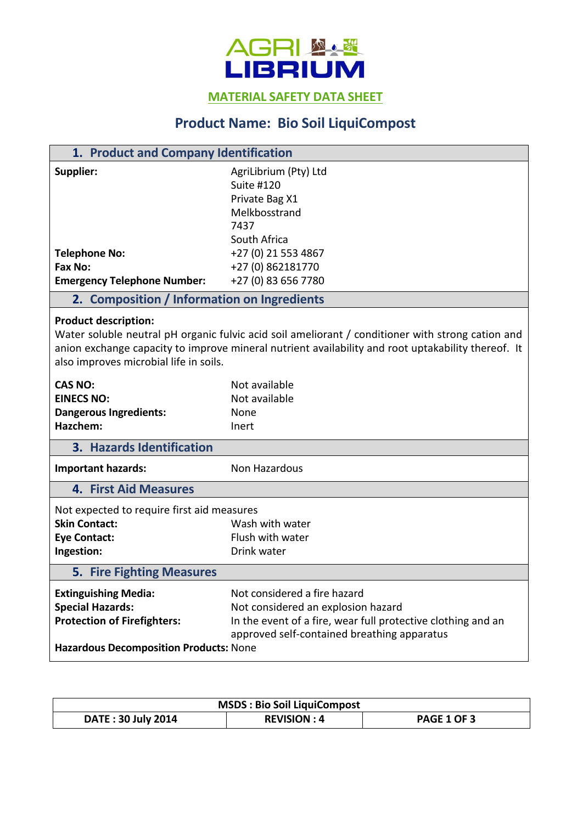

**MATERIAL SAFETY DATA SHEET** 

## **Product Name: Bio Soil LiquiCompost**

| 1. Product and Company Identification                                                                                                                                                                                                                                            |                                                                                                                                                                                   |  |
|----------------------------------------------------------------------------------------------------------------------------------------------------------------------------------------------------------------------------------------------------------------------------------|-----------------------------------------------------------------------------------------------------------------------------------------------------------------------------------|--|
| Supplier:                                                                                                                                                                                                                                                                        | AgriLibrium (Pty) Ltd<br><b>Suite #120</b><br>Private Bag X1<br>Melkbosstrand<br>7437<br>South Africa                                                                             |  |
| <b>Telephone No:</b>                                                                                                                                                                                                                                                             | +27 (0) 21 553 4867                                                                                                                                                               |  |
| Fax No:                                                                                                                                                                                                                                                                          | +27 (0) 862181770                                                                                                                                                                 |  |
| <b>Emergency Telephone Number:</b>                                                                                                                                                                                                                                               | +27 (0) 83 656 7780                                                                                                                                                               |  |
| 2. Composition / Information on Ingredients                                                                                                                                                                                                                                      |                                                                                                                                                                                   |  |
| <b>Product description:</b><br>Water soluble neutral pH organic fulvic acid soil ameliorant / conditioner with strong cation and<br>anion exchange capacity to improve mineral nutrient availability and root uptakability thereof. It<br>also improves microbial life in soils. |                                                                                                                                                                                   |  |
| <b>CAS NO:</b>                                                                                                                                                                                                                                                                   | Not available                                                                                                                                                                     |  |
| <b>EINECS NO:</b>                                                                                                                                                                                                                                                                | Not available                                                                                                                                                                     |  |
| <b>Dangerous Ingredients:</b>                                                                                                                                                                                                                                                    | None                                                                                                                                                                              |  |
| Hazchem:                                                                                                                                                                                                                                                                         | Inert                                                                                                                                                                             |  |
| 3. Hazards Identification                                                                                                                                                                                                                                                        |                                                                                                                                                                                   |  |
| Important hazards:                                                                                                                                                                                                                                                               | Non Hazardous                                                                                                                                                                     |  |
| <b>4. First Aid Measures</b>                                                                                                                                                                                                                                                     |                                                                                                                                                                                   |  |
| Not expected to require first aid measures                                                                                                                                                                                                                                       |                                                                                                                                                                                   |  |
| <b>Skin Contact:</b>                                                                                                                                                                                                                                                             | Wash with water                                                                                                                                                                   |  |
| <b>Eye Contact:</b>                                                                                                                                                                                                                                                              | Flush with water                                                                                                                                                                  |  |
| Ingestion:                                                                                                                                                                                                                                                                       | Drink water                                                                                                                                                                       |  |
| <b>5. Fire Fighting Measures</b>                                                                                                                                                                                                                                                 |                                                                                                                                                                                   |  |
| <b>Extinguishing Media:</b><br><b>Special Hazards:</b><br><b>Protection of Firefighters:</b><br><b>Hazardous Decomposition Products: None</b>                                                                                                                                    | Not considered a fire hazard<br>Not considered an explosion hazard<br>In the event of a fire, wear full protective clothing and an<br>approved self-contained breathing apparatus |  |

| <b>MSDS: Bio Soil LiquiCompost</b> |                    |                    |  |
|------------------------------------|--------------------|--------------------|--|
| <b>DATE: 30 July 2014</b>          | <b>REVISION: 4</b> | <b>PAGE 1 OF 3</b> |  |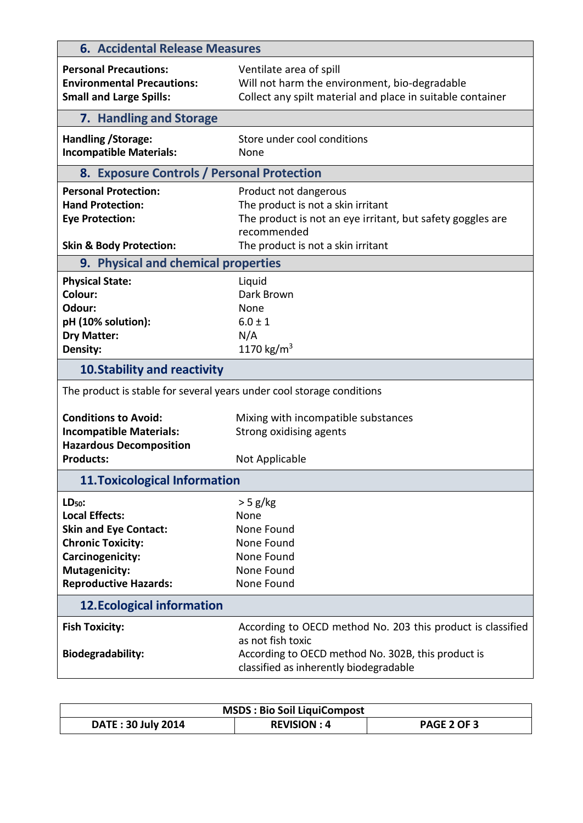| <b>6. Accidental Release Measures</b>                                                                                                                                     |                                                                                                                                                                                  |  |
|---------------------------------------------------------------------------------------------------------------------------------------------------------------------------|----------------------------------------------------------------------------------------------------------------------------------------------------------------------------------|--|
| <b>Personal Precautions:</b><br><b>Environmental Precautions:</b><br><b>Small and Large Spills:</b>                                                                       | Ventilate area of spill<br>Will not harm the environment, bio-degradable<br>Collect any spilt material and place in suitable container                                           |  |
| 7. Handling and Storage                                                                                                                                                   |                                                                                                                                                                                  |  |
| Handling / Storage:<br><b>Incompatible Materials:</b>                                                                                                                     | Store under cool conditions<br>None                                                                                                                                              |  |
| 8. Exposure Controls / Personal Protection                                                                                                                                |                                                                                                                                                                                  |  |
| <b>Personal Protection:</b><br><b>Hand Protection:</b><br><b>Eye Protection:</b>                                                                                          | Product not dangerous<br>The product is not a skin irritant<br>The product is not an eye irritant, but safety goggles are<br>recommended                                         |  |
| <b>Skin &amp; Body Protection:</b>                                                                                                                                        | The product is not a skin irritant                                                                                                                                               |  |
| 9. Physical and chemical properties                                                                                                                                       |                                                                                                                                                                                  |  |
| <b>Physical State:</b><br>Colour:<br>Odour:<br>pH (10% solution):<br><b>Dry Matter:</b><br>Density:                                                                       | Liquid<br>Dark Brown<br>None<br>$6.0 \pm 1$<br>N/A<br>1170 $\text{kg/m}^3$                                                                                                       |  |
| <b>10. Stability and reactivity</b>                                                                                                                                       |                                                                                                                                                                                  |  |
| The product is stable for several years under cool storage conditions                                                                                                     |                                                                                                                                                                                  |  |
| <b>Conditions to Avoid:</b><br><b>Incompatible Materials:</b><br><b>Hazardous Decomposition</b><br><b>Products:</b>                                                       | Mixing with incompatible substances<br>Strong oxidising agents<br>Not Applicable                                                                                                 |  |
|                                                                                                                                                                           |                                                                                                                                                                                  |  |
| <b>11. Toxicological Information</b>                                                                                                                                      |                                                                                                                                                                                  |  |
| $LD50$ :<br><b>Local Effects:</b><br><b>Skin and Eye Contact:</b><br><b>Chronic Toxicity:</b><br>Carcinogenicity:<br><b>Mutagenicity:</b><br><b>Reproductive Hazards:</b> | $>$ 5 g/kg<br>None<br>None Found<br>None Found<br>None Found<br>None Found<br>None Found                                                                                         |  |
| <b>12. Ecological information</b>                                                                                                                                         |                                                                                                                                                                                  |  |
| <b>Fish Toxicity:</b><br><b>Biodegradability:</b>                                                                                                                         | According to OECD method No. 203 this product is classified<br>as not fish toxic<br>According to OECD method No. 302B, this product is<br>classified as inherently biodegradable |  |

| <b>MSDS: Bio Soil LiquiCompost</b> |                    |                    |
|------------------------------------|--------------------|--------------------|
| <b>DATE: 30 July 2014</b>          | <b>REVISION: 4</b> | <b>PAGE 2 OF 3</b> |